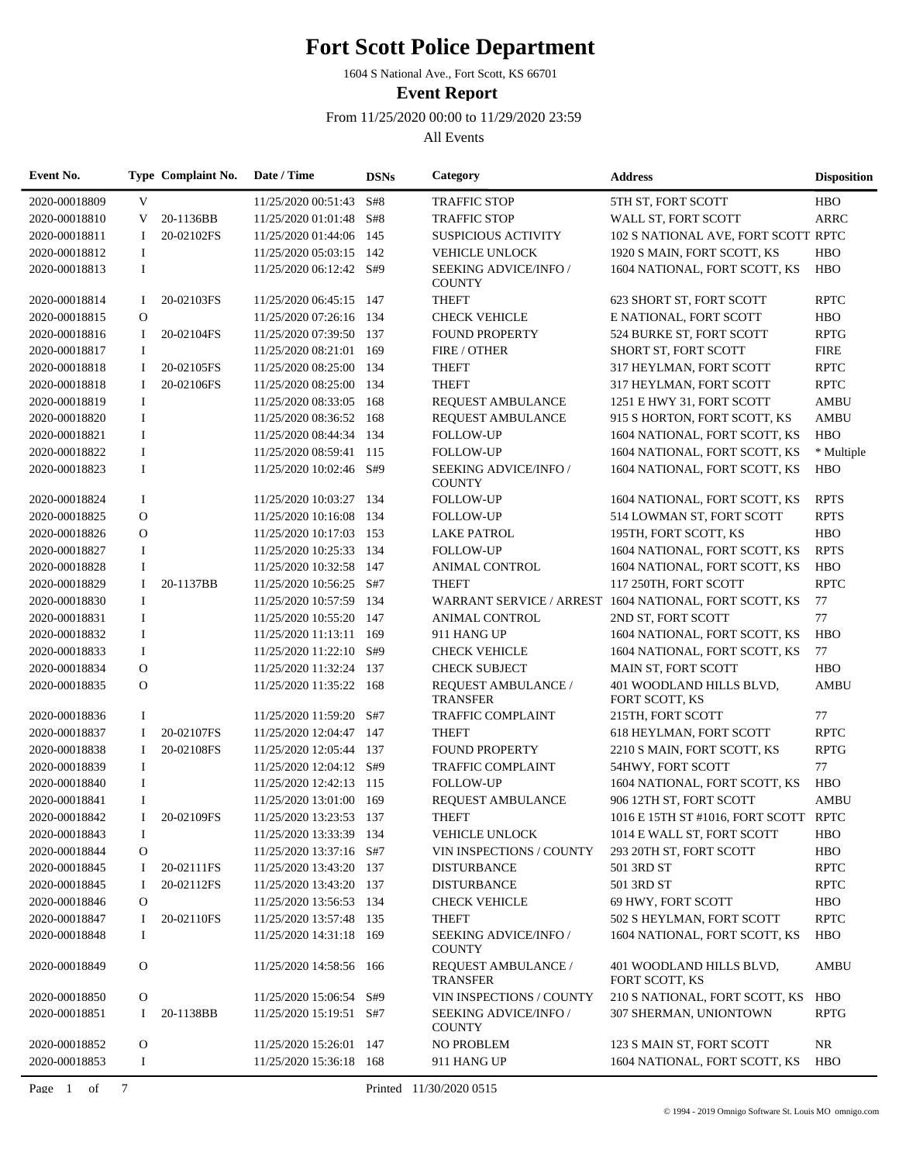1604 S National Ave., Fort Scott, KS 66701

**Event Report**

From 11/25/2020 00:00 to 11/29/2020 23:59

| Event No.     |              | Type Complaint No. | Date / Time             | <b>DSNs</b> | Category                                      | <b>Address</b>                                         | <b>Disposition</b> |
|---------------|--------------|--------------------|-------------------------|-------------|-----------------------------------------------|--------------------------------------------------------|--------------------|
| 2020-00018809 | V            |                    | 11/25/2020 00:51:43     | S#8         | <b>TRAFFIC STOP</b>                           | 5TH ST, FORT SCOTT                                     | <b>HBO</b>         |
| 2020-00018810 | V            | 20-1136BB          | 11/25/2020 01:01:48     | S#8         | <b>TRAFFIC STOP</b>                           | WALL ST, FORT SCOTT                                    | <b>ARRC</b>        |
| 2020-00018811 | $\bf{I}$     | 20-02102FS         | 11/25/2020 01:44:06     | 145         | <b>SUSPICIOUS ACTIVITY</b>                    | 102 S NATIONAL AVE, FORT SCOTT RPTC                    |                    |
| 2020-00018812 | $\bf{I}$     |                    | 11/25/2020 05:03:15     | 142         | <b>VEHICLE UNLOCK</b>                         | 1920 S MAIN, FORT SCOTT, KS                            | <b>HBO</b>         |
| 2020-00018813 | $\mathbf I$  |                    | 11/25/2020 06:12:42     | S#9         | <b>SEEKING ADVICE/INFO/</b><br><b>COUNTY</b>  | 1604 NATIONAL, FORT SCOTT, KS                          | <b>HBO</b>         |
| 2020-00018814 | $\bf{I}$     | 20-02103FS         | 11/25/2020 06:45:15 147 |             | <b>THEFT</b>                                  | 623 SHORT ST, FORT SCOTT                               | <b>RPTC</b>        |
| 2020-00018815 | $\mathbf{O}$ |                    | 11/25/2020 07:26:16     | 134         | <b>CHECK VEHICLE</b>                          | E NATIONAL, FORT SCOTT                                 | <b>HBO</b>         |
| 2020-00018816 | -1           | 20-02104FS         | 11/25/2020 07:39:50     | 137         | <b>FOUND PROPERTY</b>                         | 524 BURKE ST, FORT SCOTT                               | <b>RPTG</b>        |
| 2020-00018817 | $\bf{I}$     |                    | 11/25/2020 08:21:01 169 |             | FIRE / OTHER                                  | SHORT ST, FORT SCOTT                                   | <b>FIRE</b>        |
| 2020-00018818 | $\bf{I}$     | 20-02105FS         | 11/25/2020 08:25:00     | 134         | <b>THEFT</b>                                  | 317 HEYLMAN, FORT SCOTT                                | <b>RPTC</b>        |
| 2020-00018818 | $\bf{I}$     | 20-02106FS         | 11/25/2020 08:25:00     | 134         | <b>THEFT</b>                                  | 317 HEYLMAN, FORT SCOTT                                | <b>RPTC</b>        |
| 2020-00018819 | $\mathbf I$  |                    | 11/25/2020 08:33:05     | 168         | REQUEST AMBULANCE                             | 1251 E HWY 31, FORT SCOTT                              | <b>AMBU</b>        |
| 2020-00018820 | I            |                    | 11/25/2020 08:36:52     | 168         | REQUEST AMBULANCE                             | 915 S HORTON, FORT SCOTT, KS                           | <b>AMBU</b>        |
| 2020-00018821 | I            |                    | 11/25/2020 08:44:34 134 |             | <b>FOLLOW-UP</b>                              | 1604 NATIONAL, FORT SCOTT, KS                          | <b>HBO</b>         |
| 2020-00018822 | $\mathbf I$  |                    | 11/25/2020 08:59:41 115 |             | <b>FOLLOW-UP</b>                              | 1604 NATIONAL, FORT SCOTT, KS                          | * Multiple         |
| 2020-00018823 | $\bf{I}$     |                    | 11/25/2020 10:02:46 S#9 |             | <b>SEEKING ADVICE/INFO /</b><br><b>COUNTY</b> | 1604 NATIONAL, FORT SCOTT, KS                          | <b>HBO</b>         |
| 2020-00018824 | $\bf{I}$     |                    | 11/25/2020 10:03:27     | 134         | <b>FOLLOW-UP</b>                              | 1604 NATIONAL, FORT SCOTT, KS                          | <b>RPTS</b>        |
| 2020-00018825 | $\mathbf{O}$ |                    | 11/25/2020 10:16:08     | 134         | <b>FOLLOW-UP</b>                              | 514 LOWMAN ST. FORT SCOTT                              | <b>RPTS</b>        |
| 2020-00018826 | $\mathbf{O}$ |                    | 11/25/2020 10:17:03     | 153         | <b>LAKE PATROL</b>                            | 195TH, FORT SCOTT, KS                                  | <b>HBO</b>         |
| 2020-00018827 | I            |                    | 11/25/2020 10:25:33 134 |             | <b>FOLLOW-UP</b>                              | 1604 NATIONAL, FORT SCOTT, KS                          | <b>RPTS</b>        |
| 2020-00018828 | I            |                    | 11/25/2020 10:32:58 147 |             | <b>ANIMAL CONTROL</b>                         | 1604 NATIONAL, FORT SCOTT, KS                          | <b>HBO</b>         |
| 2020-00018829 | $\mathbf I$  | 20-1137BB          | 11/25/2020 10:56:25 S#7 |             | <b>THEFT</b>                                  | 117 250TH, FORT SCOTT                                  | <b>RPTC</b>        |
| 2020-00018830 | $\bf{I}$     |                    | 11/25/2020 10:57:59 134 |             |                                               | WARRANT SERVICE / ARREST 1604 NATIONAL, FORT SCOTT, KS | 77                 |
| 2020-00018831 | $\mathbf I$  |                    | 11/25/2020 10:55:20 147 |             | <b>ANIMAL CONTROL</b>                         | 2ND ST, FORT SCOTT                                     | 77                 |
| 2020-00018832 | $\mathbf I$  |                    | 11/25/2020 11:13:11     | 169         | 911 HANG UP                                   | 1604 NATIONAL, FORT SCOTT, KS                          | <b>HBO</b>         |
| 2020-00018833 | $\mathbf I$  |                    | 11/25/2020 11:22:10     | S#9         | <b>CHECK VEHICLE</b>                          | 1604 NATIONAL, FORT SCOTT, KS                          | 77                 |
| 2020-00018834 | $\mathbf O$  |                    | 11/25/2020 11:32:24     | 137         | <b>CHECK SUBJECT</b>                          | MAIN ST, FORT SCOTT                                    | <b>HBO</b>         |
| 2020-00018835 | $\mathbf{O}$ |                    | 11/25/2020 11:35:22 168 |             | REQUEST AMBULANCE /<br><b>TRANSFER</b>        | 401 WOODLAND HILLS BLVD,<br>FORT SCOTT, KS             | <b>AMBU</b>        |
| 2020-00018836 | $\bf{I}$     |                    | 11/25/2020 11:59:20 S#7 |             | <b>TRAFFIC COMPLAINT</b>                      | 215TH, FORT SCOTT                                      | 77                 |
| 2020-00018837 | 1            | 20-02107FS         | 11/25/2020 12:04:47 147 |             | <b>THEFT</b>                                  | 618 HEYLMAN, FORT SCOTT                                | <b>RPTC</b>        |
| 2020-00018838 | $\bf{I}$     | 20-02108FS         | 11/25/2020 12:05:44 137 |             | <b>FOUND PROPERTY</b>                         | 2210 S MAIN, FORT SCOTT, KS                            | <b>RPTG</b>        |
| 2020-00018839 | I            |                    | 11/25/2020 12:04:12 S#9 |             | <b>TRAFFIC COMPLAINT</b>                      | 54HWY, FORT SCOTT                                      | $77\,$             |
| 2020-00018840 | I            |                    | 11/25/2020 12:42:13 115 |             | <b>FOLLOW-UP</b>                              | 1604 NATIONAL, FORT SCOTT, KS                          | <b>HBO</b>         |
| 2020-00018841 | $\mathbf I$  |                    | 11/25/2020 13:01:00     | 169         | REQUEST AMBULANCE                             | 906 12TH ST, FORT SCOTT                                | <b>AMBU</b>        |
| 2020-00018842 | $\bf{I}$     | 20-02109FS         | 11/25/2020 13:23:53 137 |             | <b>THEFT</b>                                  | 1016 E 15TH ST #1016, FORT SCOTT                       | <b>RPTC</b>        |
| 2020-00018843 | $\mathbf I$  |                    | 11/25/2020 13:33:39 134 |             | <b>VEHICLE UNLOCK</b>                         | 1014 E WALL ST, FORT SCOTT                             | <b>HBO</b>         |
| 2020-00018844 | $\mathbf O$  |                    | 11/25/2020 13:37:16 S#7 |             | VIN INSPECTIONS / COUNTY                      | 293 20TH ST, FORT SCOTT                                | <b>HBO</b>         |
| 2020-00018845 | -1           | 20-02111FS         | 11/25/2020 13:43:20 137 |             | <b>DISTURBANCE</b>                            | 501 3RD ST                                             | <b>RPTC</b>        |
| 2020-00018845 | $\bf{I}$     | 20-02112FS         | 11/25/2020 13:43:20 137 |             | <b>DISTURBANCE</b>                            | 501 3RD ST                                             | <b>RPTC</b>        |
| 2020-00018846 | O            |                    | 11/25/2020 13:56:53 134 |             | <b>CHECK VEHICLE</b>                          | 69 HWY, FORT SCOTT                                     | <b>HBO</b>         |
| 2020-00018847 | Ι.           | 20-02110FS         | 11/25/2020 13:57:48 135 |             | <b>THEFT</b>                                  | 502 S HEYLMAN, FORT SCOTT                              | <b>RPTC</b>        |
| 2020-00018848 | Ι.           |                    | 11/25/2020 14:31:18 169 |             | <b>SEEKING ADVICE/INFO/</b><br><b>COUNTY</b>  | 1604 NATIONAL, FORT SCOTT, KS                          | <b>HBO</b>         |
| 2020-00018849 | $\mathbf{O}$ |                    | 11/25/2020 14:58:56 166 |             | REQUEST AMBULANCE /<br><b>TRANSFER</b>        | 401 WOODLAND HILLS BLVD,<br>FORT SCOTT, KS             | AMBU               |
| 2020-00018850 | $\mathbf{O}$ |                    | 11/25/2020 15:06:54 S#9 |             | VIN INSPECTIONS / COUNTY                      | 210 S NATIONAL, FORT SCOTT, KS                         | <b>HBO</b>         |
| 2020-00018851 | $\bf{I}$     | 20-1138BB          | 11/25/2020 15:19:51 S#7 |             | SEEKING ADVICE/INFO /<br><b>COUNTY</b>        | 307 SHERMAN, UNIONTOWN                                 | <b>RPTG</b>        |
| 2020-00018852 | $\mathbf{O}$ |                    | 11/25/2020 15:26:01 147 |             | <b>NO PROBLEM</b>                             | 123 S MAIN ST, FORT SCOTT                              | $\rm NR$           |
| 2020-00018853 | $\bf{I}$     |                    | 11/25/2020 15:36:18 168 |             | 911 HANG UP                                   | 1604 NATIONAL, FORT SCOTT, KS                          | <b>HBO</b>         |
| of<br>Page 1  | $\tau$       |                    |                         |             | Printed 11/30/2020 0515                       |                                                        |                    |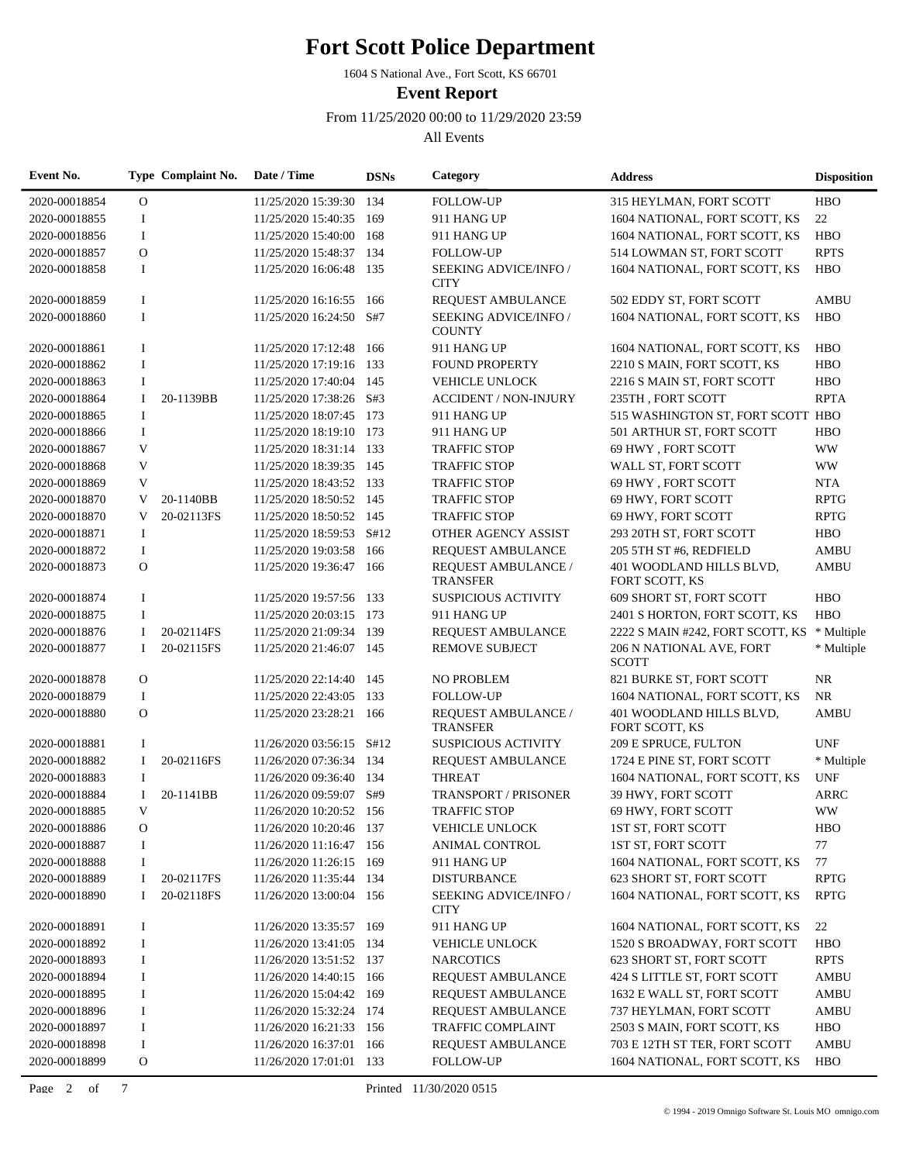1604 S National Ave., Fort Scott, KS 66701

**Event Report**

From 11/25/2020 00:00 to 11/29/2020 23:59

| Event No.     |              | Type Complaint No. | Date / Time              | <b>DSNs</b> | Category                                     | <b>Address</b>                             | <b>Disposition</b> |
|---------------|--------------|--------------------|--------------------------|-------------|----------------------------------------------|--------------------------------------------|--------------------|
| 2020-00018854 | $\mathbf{O}$ |                    | 11/25/2020 15:39:30      | 134         | <b>FOLLOW-UP</b>                             | 315 HEYLMAN, FORT SCOTT                    | <b>HBO</b>         |
| 2020-00018855 | $\bf{I}$     |                    | 11/25/2020 15:40:35      | 169         | 911 HANG UP                                  | 1604 NATIONAL, FORT SCOTT, KS              | 22                 |
| 2020-00018856 | $\bf{I}$     |                    | 11/25/2020 15:40:00      | 168         | 911 HANG UP                                  | 1604 NATIONAL, FORT SCOTT, KS              | <b>HBO</b>         |
| 2020-00018857 | $\mathbf O$  |                    | 11/25/2020 15:48:37 134  |             | <b>FOLLOW-UP</b>                             | 514 LOWMAN ST, FORT SCOTT                  | <b>RPTS</b>        |
| 2020-00018858 | $\mathbf I$  |                    | 11/25/2020 16:06:48      | 135         | <b>SEEKING ADVICE/INFO /</b><br><b>CITY</b>  | 1604 NATIONAL, FORT SCOTT, KS              | <b>HBO</b>         |
| 2020-00018859 | $\mathbf I$  |                    | 11/25/2020 16:16:55 166  |             | <b>REQUEST AMBULANCE</b>                     | 502 EDDY ST, FORT SCOTT                    | <b>AMBU</b>        |
| 2020-00018860 | $\mathbf I$  |                    | 11/25/2020 16:24:50 S#7  |             | <b>SEEKING ADVICE/INFO/</b><br><b>COUNTY</b> | 1604 NATIONAL, FORT SCOTT, KS              | <b>HBO</b>         |
| 2020-00018861 | $\mathbf I$  |                    | 11/25/2020 17:12:48      | 166         | 911 HANG UP                                  | 1604 NATIONAL, FORT SCOTT, KS              | <b>HBO</b>         |
| 2020-00018862 | $\mathbf I$  |                    | 11/25/2020 17:19:16      | 133         | <b>FOUND PROPERTY</b>                        | 2210 S MAIN, FORT SCOTT, KS                | <b>HBO</b>         |
| 2020-00018863 | $\bf{I}$     |                    | 11/25/2020 17:40:04 145  |             | <b>VEHICLE UNLOCK</b>                        | 2216 S MAIN ST, FORT SCOTT                 | <b>HBO</b>         |
| 2020-00018864 | $\mathbf{I}$ | 20-1139BB          | 11/25/2020 17:38:26 S#3  |             | <b>ACCIDENT / NON-INJURY</b>                 | 235TH, FORT SCOTT                          | <b>RPTA</b>        |
| 2020-00018865 | $\bf{I}$     |                    | 11/25/2020 18:07:45 173  |             | 911 HANG UP                                  | 515 WASHINGTON ST, FORT SCOTT HBO          |                    |
| 2020-00018866 | $\mathbf I$  |                    | 11/25/2020 18:19:10 173  |             | 911 HANG UP                                  | 501 ARTHUR ST, FORT SCOTT                  | <b>HBO</b>         |
| 2020-00018867 | V            |                    | 11/25/2020 18:31:14      | 133         | <b>TRAFFIC STOP</b>                          | 69 HWY, FORT SCOTT                         | <b>WW</b>          |
| 2020-00018868 | V            |                    | 11/25/2020 18:39:35      | 145         | <b>TRAFFIC STOP</b>                          | WALL ST, FORT SCOTT                        | <b>WW</b>          |
| 2020-00018869 | $\mathbf V$  |                    | 11/25/2020 18:43:52 133  |             | <b>TRAFFIC STOP</b>                          | 69 HWY, FORT SCOTT                         | <b>NTA</b>         |
| 2020-00018870 | V            | 20-1140BB          | 11/25/2020 18:50:52 145  |             | <b>TRAFFIC STOP</b>                          | 69 HWY, FORT SCOTT                         | <b>RPTG</b>        |
| 2020-00018870 | V            | 20-02113FS         | 11/25/2020 18:50:52 145  |             | <b>TRAFFIC STOP</b>                          | 69 HWY, FORT SCOTT                         | <b>RPTG</b>        |
| 2020-00018871 | $\bf{I}$     |                    | 11/25/2020 18:59:53 S#12 |             | <b>OTHER AGENCY ASSIST</b>                   | 293 20TH ST, FORT SCOTT                    | <b>HBO</b>         |
| 2020-00018872 | $\bf{I}$     |                    | 11/25/2020 19:03:58      | -166        | REQUEST AMBULANCE                            | 205 5TH ST #6, REDFIELD                    | <b>AMBU</b>        |
| 2020-00018873 | O            |                    | 11/25/2020 19:36:47 166  |             | REQUEST AMBULANCE /<br><b>TRANSFER</b>       | 401 WOODLAND HILLS BLVD,<br>FORT SCOTT, KS | <b>AMBU</b>        |
| 2020-00018874 | $\mathbf I$  |                    | 11/25/2020 19:57:56      | 133         | <b>SUSPICIOUS ACTIVITY</b>                   | 609 SHORT ST, FORT SCOTT                   | <b>HBO</b>         |
| 2020-00018875 | $\bf{I}$     |                    | 11/25/2020 20:03:15      | 173         | 911 HANG UP                                  | 2401 S HORTON, FORT SCOTT, KS              | <b>HBO</b>         |
| 2020-00018876 | <b>I</b>     | 20-02114FS         | 11/25/2020 21:09:34      | 139         | <b>REQUEST AMBULANCE</b>                     | 2222 S MAIN #242, FORT SCOTT, KS           | * Multiple         |
| 2020-00018877 | $\bf{I}$     | 20-02115FS         | 11/25/2020 21:46:07      | 145         | <b>REMOVE SUBJECT</b>                        | 206 N NATIONAL AVE, FORT<br><b>SCOTT</b>   | * Multiple         |
| 2020-00018878 | $\mathbf{O}$ |                    | 11/25/2020 22:14:40      | 145         | <b>NO PROBLEM</b>                            | 821 BURKE ST, FORT SCOTT                   | <b>NR</b>          |
| 2020-00018879 | I            |                    | 11/25/2020 22:43:05      | 133         | <b>FOLLOW-UP</b>                             | 1604 NATIONAL, FORT SCOTT, KS              | NR                 |
| 2020-00018880 | $\mathbf O$  |                    | 11/25/2020 23:28:21      | 166         | REQUEST AMBULANCE /<br><b>TRANSFER</b>       | 401 WOODLAND HILLS BLVD,<br>FORT SCOTT, KS | <b>AMBU</b>        |
| 2020-00018881 | $\bf{I}$     |                    | 11/26/2020 03:56:15      | S#12        | <b>SUSPICIOUS ACTIVITY</b>                   | 209 E SPRUCE, FULTON                       | <b>UNF</b>         |
| 2020-00018882 | $\bf{I}$     | 20-02116FS         | 11/26/2020 07:36:34      | 134         | <b>REQUEST AMBULANCE</b>                     | 1724 E PINE ST, FORT SCOTT                 | * Multiple         |
| 2020-00018883 | I            |                    | 11/26/2020 09:36:40      | -134        | <b>THREAT</b>                                | 1604 NATIONAL, FORT SCOTT, KS              | <b>UNF</b>         |
| 2020-00018884 | $\mathbf{I}$ | 20-1141BB          | 11/26/2020 09:59:07 S#9  |             | <b>TRANSPORT / PRISONER</b>                  | 39 HWY, FORT SCOTT                         | ARRC               |
| 2020-00018885 | V            |                    | 11/26/2020 10:20:52 156  |             | <b>TRAFFIC STOP</b>                          | 69 HWY, FORT SCOTT                         | <b>WW</b>          |
| 2020-00018886 | О            |                    | 11/26/2020 10:20:46      | 137         | <b>VEHICLE UNLOCK</b>                        | 1ST ST, FORT SCOTT                         | HBO                |
| 2020-00018887 | I            |                    | 11/26/2020 11:16:47 156  |             | ANIMAL CONTROL                               | 1ST ST, FORT SCOTT                         | 77                 |
| 2020-00018888 | I            |                    | 11/26/2020 11:26:15 169  |             | 911 HANG UP                                  | 1604 NATIONAL, FORT SCOTT, KS              | 77                 |
| 2020-00018889 | Ι.           | 20-02117FS         | 11/26/2020 11:35:44 134  |             | <b>DISTURBANCE</b>                           | 623 SHORT ST, FORT SCOTT                   | <b>RPTG</b>        |
| 2020-00018890 | 1            | 20-02118FS         | 11/26/2020 13:00:04 156  |             | SEEKING ADVICE/INFO /<br><b>CITY</b>         | 1604 NATIONAL, FORT SCOTT, KS              | <b>RPTG</b>        |
| 2020-00018891 | I            |                    | 11/26/2020 13:35:57 169  |             | 911 HANG UP                                  | 1604 NATIONAL, FORT SCOTT, KS              | 22                 |
| 2020-00018892 | I            |                    | 11/26/2020 13:41:05 134  |             | <b>VEHICLE UNLOCK</b>                        | 1520 S BROADWAY, FORT SCOTT                | <b>HBO</b>         |
| 2020-00018893 | I            |                    | 11/26/2020 13:51:52 137  |             | <b>NARCOTICS</b>                             | 623 SHORT ST, FORT SCOTT                   | <b>RPTS</b>        |
| 2020-00018894 | I            |                    | 11/26/2020 14:40:15 166  |             | <b>REQUEST AMBULANCE</b>                     | 424 S LITTLE ST, FORT SCOTT                | AMBU               |
| 2020-00018895 | I            |                    | 11/26/2020 15:04:42 169  |             | <b>REQUEST AMBULANCE</b>                     | 1632 E WALL ST, FORT SCOTT                 | <b>AMBU</b>        |
| 2020-00018896 | $\bf{I}$     |                    | 11/26/2020 15:32:24 174  |             | REQUEST AMBULANCE                            | 737 HEYLMAN, FORT SCOTT                    | <b>AMBU</b>        |
| 2020-00018897 | I            |                    | 11/26/2020 16:21:33 156  |             | TRAFFIC COMPLAINT                            | 2503 S MAIN, FORT SCOTT, KS                | <b>HBO</b>         |
| 2020-00018898 | $\bf{I}$     |                    | 11/26/2020 16:37:01      | 166         | REQUEST AMBULANCE                            | 703 E 12TH ST TER, FORT SCOTT              | <b>AMBU</b>        |
| 2020-00018899 | $\mathbf{O}$ |                    | 11/26/2020 17:01:01 133  |             | <b>FOLLOW-UP</b>                             | 1604 NATIONAL, FORT SCOTT, KS              | <b>HBO</b>         |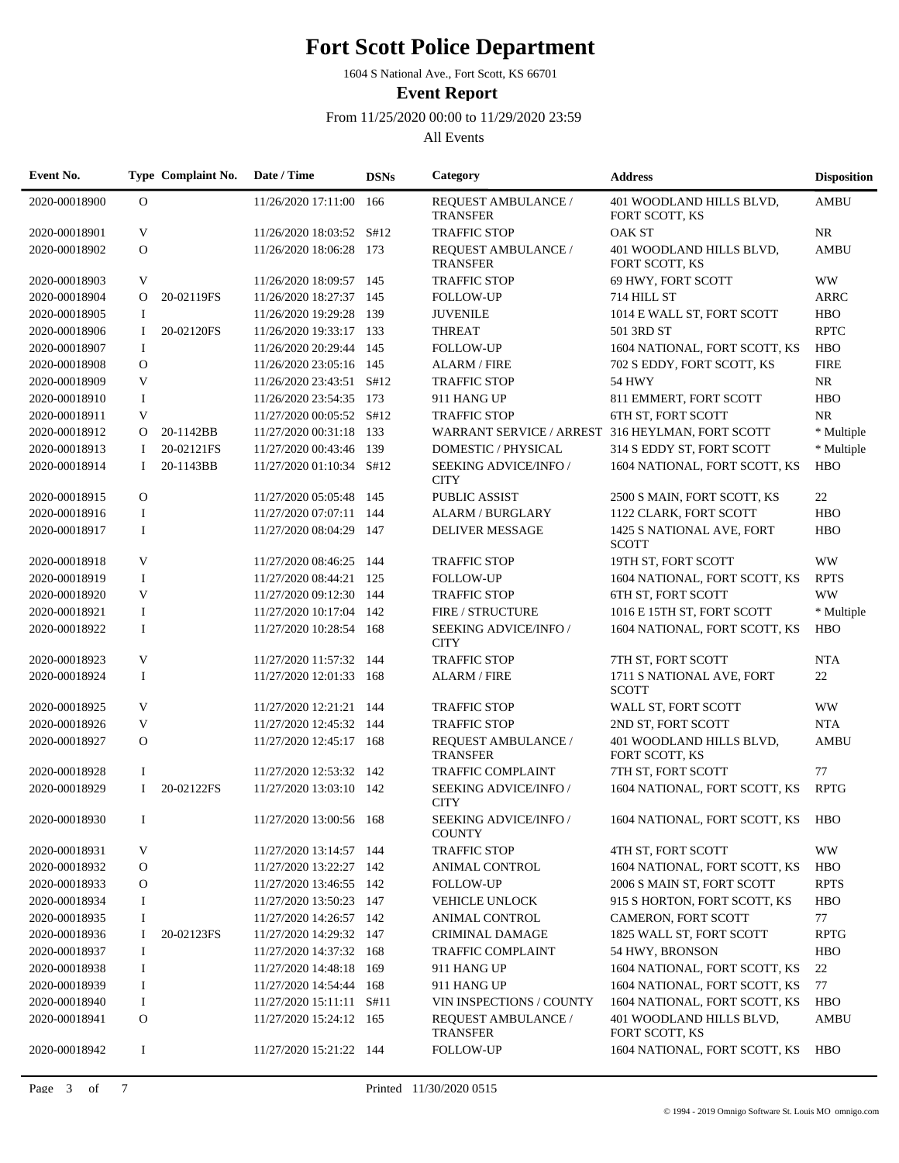1604 S National Ave., Fort Scott, KS 66701

**Event Report**

From 11/25/2020 00:00 to 11/29/2020 23:59

| Event No.     |                | Type Complaint No. | Date / Time              | <b>DSNs</b> | Category                                         | <b>Address</b>                             | <b>Disposition</b> |
|---------------|----------------|--------------------|--------------------------|-------------|--------------------------------------------------|--------------------------------------------|--------------------|
| 2020-00018900 | $\overline{O}$ |                    | 11/26/2020 17:11:00      | - 166       | REQUEST AMBULANCE /<br><b>TRANSFER</b>           | 401 WOODLAND HILLS BLVD,<br>FORT SCOTT, KS | <b>AMBU</b>        |
| 2020-00018901 | V              |                    | 11/26/2020 18:03:52 S#12 |             | <b>TRAFFIC STOP</b>                              | <b>OAK ST</b>                              | NR                 |
| 2020-00018902 | $\mathbf{O}$   |                    | 11/26/2020 18:06:28 173  |             | REQUEST AMBULANCE /<br><b>TRANSFER</b>           | 401 WOODLAND HILLS BLVD,<br>FORT SCOTT, KS | <b>AMBU</b>        |
| 2020-00018903 | V              |                    | 11/26/2020 18:09:57 145  |             | <b>TRAFFIC STOP</b>                              | 69 HWY, FORT SCOTT                         | <b>WW</b>          |
| 2020-00018904 | O              | 20-02119FS         | 11/26/2020 18:27:37 145  |             | <b>FOLLOW-UP</b>                                 | 714 HILL ST                                | <b>ARRC</b>        |
| 2020-00018905 | $\bf{I}$       |                    | 11/26/2020 19:29:28 139  |             | <b>JUVENILE</b>                                  | 1014 E WALL ST, FORT SCOTT                 | <b>HBO</b>         |
| 2020-00018906 | 1              | 20-02120FS         | 11/26/2020 19:33:17 133  |             | <b>THREAT</b>                                    | 501 3RD ST                                 | <b>RPTC</b>        |
| 2020-00018907 | $\bf{I}$       |                    | 11/26/2020 20:29:44      | 145         | <b>FOLLOW-UP</b>                                 | 1604 NATIONAL, FORT SCOTT, KS              | <b>HBO</b>         |
| 2020-00018908 | $\mathbf{O}$   |                    | 11/26/2020 23:05:16 145  |             | <b>ALARM / FIRE</b>                              | 702 S EDDY, FORT SCOTT, KS                 | <b>FIRE</b>        |
| 2020-00018909 | V              |                    | 11/26/2020 23:43:51 S#12 |             | <b>TRAFFIC STOP</b>                              | 54 HWY                                     | NR                 |
| 2020-00018910 | $\mathbf I$    |                    | 11/26/2020 23:54:35 173  |             | 911 HANG UP                                      | 811 EMMERT, FORT SCOTT                     | <b>HBO</b>         |
| 2020-00018911 | V              |                    | 11/27/2020 00:05:52 S#12 |             | <b>TRAFFIC STOP</b>                              | 6TH ST, FORT SCOTT                         | <b>NR</b>          |
| 2020-00018912 | $\Omega$       | 20-1142BB          | 11/27/2020 00:31:18 133  |             | WARRANT SERVICE / ARREST 316 HEYLMAN, FORT SCOTT |                                            | * Multiple         |
| 2020-00018913 | 1              | 20-02121FS         | 11/27/2020 00:43:46 139  |             | <b>DOMESTIC / PHYSICAL</b>                       | 314 S EDDY ST, FORT SCOTT                  | * Multiple         |
| 2020-00018914 | 1              | 20-1143BB          | 11/27/2020 01:10:34 S#12 |             | SEEKING ADVICE/INFO /<br><b>CITY</b>             | 1604 NATIONAL, FORT SCOTT, KS              | <b>HBO</b>         |
| 2020-00018915 | $\mathbf{O}$   |                    | 11/27/2020 05:05:48 145  |             | PUBLIC ASSIST                                    | 2500 S MAIN, FORT SCOTT, KS                | 22                 |
| 2020-00018916 | $\bf{I}$       |                    | 11/27/2020 07:07:11 144  |             | <b>ALARM / BURGLARY</b>                          | 1122 CLARK, FORT SCOTT                     | <b>HBO</b>         |
| 2020-00018917 | $\mathbf I$    |                    | 11/27/2020 08:04:29 147  |             | <b>DELIVER MESSAGE</b>                           | 1425 S NATIONAL AVE, FORT<br><b>SCOTT</b>  | <b>HBO</b>         |
| 2020-00018918 | V              |                    | 11/27/2020 08:46:25 144  |             | <b>TRAFFIC STOP</b>                              | 19TH ST, FORT SCOTT                        | <b>WW</b>          |
| 2020-00018919 | $\bf{I}$       |                    | 11/27/2020 08:44:21 125  |             | <b>FOLLOW-UP</b>                                 | 1604 NATIONAL, FORT SCOTT, KS              | <b>RPTS</b>        |
| 2020-00018920 | V              |                    | 11/27/2020 09:12:30      | - 144       | <b>TRAFFIC STOP</b>                              | <b>6TH ST, FORT SCOTT</b>                  | <b>WW</b>          |
| 2020-00018921 | $\bf{I}$       |                    | 11/27/2020 10:17:04 142  |             | FIRE / STRUCTURE                                 | 1016 E 15TH ST, FORT SCOTT                 | * Multiple         |
| 2020-00018922 | $\bf{I}$       |                    | 11/27/2020 10:28:54 168  |             | <b>SEEKING ADVICE/INFO/</b><br><b>CITY</b>       | 1604 NATIONAL, FORT SCOTT, KS              | <b>HBO</b>         |
| 2020-00018923 | V              |                    | 11/27/2020 11:57:32 144  |             | <b>TRAFFIC STOP</b>                              | 7TH ST, FORT SCOTT                         | <b>NTA</b>         |
| 2020-00018924 | $\bf{I}$       |                    | 11/27/2020 12:01:33 168  |             | <b>ALARM / FIRE</b>                              | 1711 S NATIONAL AVE, FORT<br><b>SCOTT</b>  | 22                 |
| 2020-00018925 | V              |                    | 11/27/2020 12:21:21 144  |             | <b>TRAFFIC STOP</b>                              | WALL ST, FORT SCOTT                        | <b>WW</b>          |
| 2020-00018926 | V              |                    | 11/27/2020 12:45:32 144  |             | <b>TRAFFIC STOP</b>                              | 2ND ST, FORT SCOTT                         | <b>NTA</b>         |
| 2020-00018927 | $\Omega$       |                    | 11/27/2020 12:45:17 168  |             | REQUEST AMBULANCE /<br><b>TRANSFER</b>           | 401 WOODLAND HILLS BLVD,<br>FORT SCOTT, KS | <b>AMBU</b>        |
| 2020-00018928 | I              |                    | 11/27/2020 12:53:32 142  |             | <b>TRAFFIC COMPLAINT</b>                         | 7TH ST. FORT SCOTT                         | 77                 |
| 2020-00018929 | Ι.             | 20-02122FS         | 11/27/2020 13:03:10 142  |             | <b>SEEKING ADVICE/INFO/</b><br><b>CITY</b>       | 1604 NATIONAL, FORT SCOTT, KS              | <b>RPTG</b>        |
| 2020-00018930 | 1              |                    | 11/27/2020 13:00:56 168  |             | SEEKING ADVICE/INFO /<br><b>COUNTY</b>           | 1604 NATIONAL, FORT SCOTT, KS              | <b>HBO</b>         |
| 2020-00018931 | V              |                    | 11/27/2020 13:14:57 144  |             | <b>TRAFFIC STOP</b>                              | 4TH ST, FORT SCOTT                         | <b>WW</b>          |
| 2020-00018932 | $\mathbf O$    |                    | 11/27/2020 13:22:27 142  |             | <b>ANIMAL CONTROL</b>                            | 1604 NATIONAL, FORT SCOTT, KS              | <b>HBO</b>         |
| 2020-00018933 | $\mathbf 0$    |                    | 11/27/2020 13:46:55 142  |             | <b>FOLLOW-UP</b>                                 | 2006 S MAIN ST, FORT SCOTT                 | <b>RPTS</b>        |
| 2020-00018934 | 1              |                    | 11/27/2020 13:50:23 147  |             | <b>VEHICLE UNLOCK</b>                            | 915 S HORTON, FORT SCOTT, KS               | <b>HBO</b>         |
| 2020-00018935 | I              |                    | 11/27/2020 14:26:57 142  |             | <b>ANIMAL CONTROL</b>                            | CAMERON, FORT SCOTT                        | 77                 |
| 2020-00018936 | 1              | 20-02123FS         | 11/27/2020 14:29:32 147  |             | <b>CRIMINAL DAMAGE</b>                           | 1825 WALL ST, FORT SCOTT                   | <b>RPTG</b>        |
| 2020-00018937 | I              |                    | 11/27/2020 14:37:32 168  |             | <b>TRAFFIC COMPLAINT</b>                         | 54 HWY, BRONSON                            | <b>HBO</b>         |
| 2020-00018938 | I              |                    | 11/27/2020 14:48:18 169  |             | 911 HANG UP                                      | 1604 NATIONAL, FORT SCOTT, KS              | 22                 |
| 2020-00018939 | I              |                    | 11/27/2020 14:54:44 168  |             | 911 HANG UP                                      | 1604 NATIONAL, FORT SCOTT, KS              | 77                 |
| 2020-00018940 | $\bf{I}$       |                    | 11/27/2020 15:11:11 S#11 |             | VIN INSPECTIONS / COUNTY                         | 1604 NATIONAL, FORT SCOTT, KS              | <b>HBO</b>         |
| 2020-00018941 | $\mathbf O$    |                    | 11/27/2020 15:24:12 165  |             | <b>REQUEST AMBULANCE /</b><br><b>TRANSFER</b>    | 401 WOODLAND HILLS BLVD,<br>FORT SCOTT, KS | <b>AMBU</b>        |
| 2020-00018942 | Ι.             |                    | 11/27/2020 15:21:22 144  |             | <b>FOLLOW-UP</b>                                 | 1604 NATIONAL, FORT SCOTT, KS              | <b>HBO</b>         |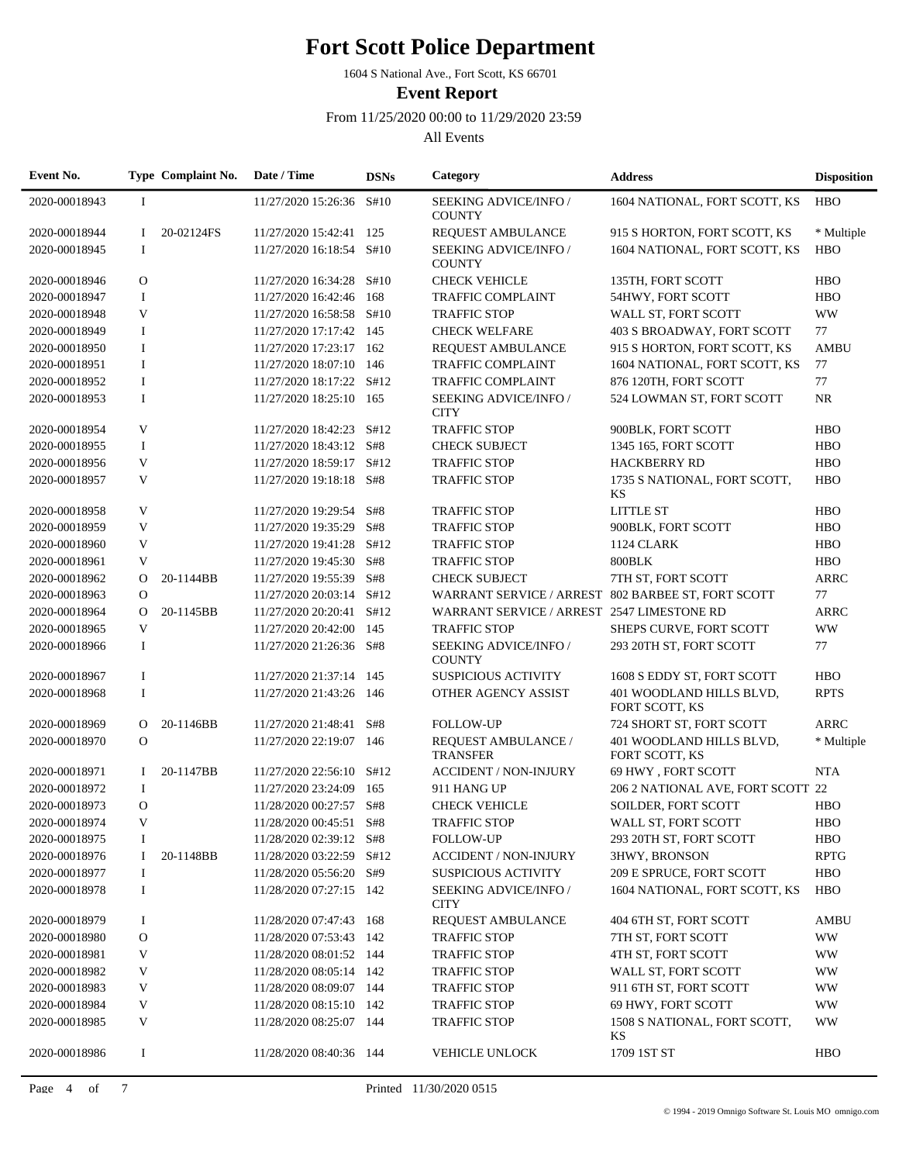1604 S National Ave., Fort Scott, KS 66701

**Event Report**

From 11/25/2020 00:00 to 11/29/2020 23:59

| Event No.     |              | Type Complaint No. | Date / Time              | <b>DSNs</b> | Category                                           | <b>Address</b>                             | <b>Disposition</b> |
|---------------|--------------|--------------------|--------------------------|-------------|----------------------------------------------------|--------------------------------------------|--------------------|
| 2020-00018943 | $\bf{I}$     |                    | 11/27/2020 15:26:36 S#10 |             | SEEKING ADVICE/INFO /<br><b>COUNTY</b>             | 1604 NATIONAL, FORT SCOTT, KS              | <b>HBO</b>         |
| 2020-00018944 | $\mathbf{I}$ | 20-02124FS         | 11/27/2020 15:42:41 125  |             | REQUEST AMBULANCE                                  | 915 S HORTON, FORT SCOTT, KS               | * Multiple         |
| 2020-00018945 | I            |                    | 11/27/2020 16:18:54      | S#10        | SEEKING ADVICE/INFO /<br><b>COUNTY</b>             | 1604 NATIONAL, FORT SCOTT, KS              | <b>HBO</b>         |
| 2020-00018946 | $\mathbf{O}$ |                    | 11/27/2020 16:34:28      | S#10        | <b>CHECK VEHICLE</b>                               | 135TH, FORT SCOTT                          | <b>HBO</b>         |
| 2020-00018947 | $\mathbf I$  |                    | 11/27/2020 16:42:46 168  |             | <b>TRAFFIC COMPLAINT</b>                           | 54HWY, FORT SCOTT                          | <b>HBO</b>         |
| 2020-00018948 | V            |                    | 11/27/2020 16:58:58      | S#10        | <b>TRAFFIC STOP</b>                                | WALL ST, FORT SCOTT                        | <b>WW</b>          |
| 2020-00018949 | I            |                    | 11/27/2020 17:17:42 145  |             | <b>CHECK WELFARE</b>                               | 403 S BROADWAY, FORT SCOTT                 | 77                 |
| 2020-00018950 | $\bf{I}$     |                    | 11/27/2020 17:23:17 162  |             | <b>REQUEST AMBULANCE</b>                           | 915 S HORTON, FORT SCOTT, KS               | <b>AMBU</b>        |
| 2020-00018951 | $\bf{I}$     |                    | 11/27/2020 18:07:10 146  |             | <b>TRAFFIC COMPLAINT</b>                           | 1604 NATIONAL, FORT SCOTT, KS              | 77                 |
| 2020-00018952 | I            |                    | 11/27/2020 18:17:22 S#12 |             | <b>TRAFFIC COMPLAINT</b>                           | 876 120TH, FORT SCOTT                      | 77                 |
| 2020-00018953 | $\mathbf I$  |                    | 11/27/2020 18:25:10 165  |             | <b>SEEKING ADVICE/INFO /</b><br><b>CITY</b>        | 524 LOWMAN ST, FORT SCOTT                  | NR                 |
| 2020-00018954 | V            |                    | 11/27/2020 18:42:23      | S#12        | <b>TRAFFIC STOP</b>                                | 900BLK, FORT SCOTT                         | <b>HBO</b>         |
| 2020-00018955 | $\mathbf I$  |                    | 11/27/2020 18:43:12 S#8  |             | <b>CHECK SUBJECT</b>                               | 1345 165, FORT SCOTT                       | <b>HBO</b>         |
| 2020-00018956 | V            |                    | 11/27/2020 18:59:17      | S#12        | <b>TRAFFIC STOP</b>                                | <b>HACKBERRY RD</b>                        | <b>HBO</b>         |
| 2020-00018957 | V            |                    | 11/27/2020 19:18:18      | S#8         | <b>TRAFFIC STOP</b>                                | 1735 S NATIONAL, FORT SCOTT,<br>KS         | <b>HBO</b>         |
| 2020-00018958 | V            |                    | 11/27/2020 19:29:54      | S#8         | <b>TRAFFIC STOP</b>                                | <b>LITTLE ST</b>                           | <b>HBO</b>         |
| 2020-00018959 | V            |                    | 11/27/2020 19:35:29      | S#8         | <b>TRAFFIC STOP</b>                                | 900BLK, FORT SCOTT                         | <b>HBO</b>         |
| 2020-00018960 | V            |                    | 11/27/2020 19:41:28      | S#12        | <b>TRAFFIC STOP</b>                                | <b>1124 CLARK</b>                          | <b>HBO</b>         |
| 2020-00018961 | V            |                    | 11/27/2020 19:45:30 S#8  |             | <b>TRAFFIC STOP</b>                                | 800BLK                                     | <b>HBO</b>         |
| 2020-00018962 | $\Omega$     | 20-1144BB          | 11/27/2020 19:55:39      | S#8         | <b>CHECK SUBJECT</b>                               | 7TH ST, FORT SCOTT                         | <b>ARRC</b>        |
| 2020-00018963 | $\Omega$     |                    | 11/27/2020 20:03:14      | S#12        | WARRANT SERVICE / ARREST 802 BARBEE ST, FORT SCOTT |                                            | 77                 |
| 2020-00018964 | $\Omega$     | 20-1145BB          | 11/27/2020 20:20:41      | S#12        | WARRANT SERVICE / ARREST 2547 LIMESTONE RD         |                                            | <b>ARRC</b>        |
| 2020-00018965 | V            |                    | 11/27/2020 20:42:00 145  |             | <b>TRAFFIC STOP</b>                                | <b>SHEPS CURVE, FORT SCOTT</b>             | <b>WW</b>          |
| 2020-00018966 | $\mathbf I$  |                    | 11/27/2020 21:26:36 S#8  |             | SEEKING ADVICE/INFO /<br><b>COUNTY</b>             | 293 20TH ST, FORT SCOTT                    | 77                 |
| 2020-00018967 | $\bf{I}$     |                    | 11/27/2020 21:37:14 145  |             | <b>SUSPICIOUS ACTIVITY</b>                         | 1608 S EDDY ST, FORT SCOTT                 | <b>HBO</b>         |
| 2020-00018968 | $\mathbf I$  |                    | 11/27/2020 21:43:26      | 146         | OTHER AGENCY ASSIST                                | 401 WOODLAND HILLS BLVD,<br>FORT SCOTT, KS | <b>RPTS</b>        |
| 2020-00018969 | $\Omega$     | 20-1146BB          | 11/27/2020 21:48:41      | S#8         | <b>FOLLOW-UP</b>                                   | 724 SHORT ST, FORT SCOTT                   | <b>ARRC</b>        |
| 2020-00018970 | $\Omega$     |                    | 11/27/2020 22:19:07 146  |             | REQUEST AMBULANCE /<br><b>TRANSFER</b>             | 401 WOODLAND HILLS BLVD,<br>FORT SCOTT, KS | * Multiple         |
| 2020-00018971 | L            | 20-1147BB          | 11/27/2020 22:56:10      | S#12        | <b>ACCIDENT / NON-INJURY</b>                       | 69 HWY, FORT SCOTT                         | <b>NTA</b>         |
| 2020-00018972 | $\mathbf I$  |                    | 11/27/2020 23:24:09      | 165         | 911 HANG UP                                        | 206 2 NATIONAL AVE, FORT SCOTT             | 22                 |
| 2020-00018973 | $\Omega$     |                    | 11/28/2020 00:27:57      | S#8         | <b>CHECK VEHICLE</b>                               | <b>SOILDER, FORT SCOTT</b>                 | <b>HBO</b>         |
| 2020-00018974 | V            |                    | 11/28/2020 00:45:51      | S#8         | <b>TRAFFIC STOP</b>                                | WALL ST, FORT SCOTT                        | HBO                |
| 2020-00018975 | I            |                    | 11/28/2020 02:39:12 S#8  |             | <b>FOLLOW-UP</b>                                   | 293 20TH ST, FORT SCOTT                    | <b>HBO</b>         |
| 2020-00018976 | Ι.           | 20-1148BB          | 11/28/2020 03:22:59 S#12 |             | <b>ACCIDENT / NON-INJURY</b>                       | 3HWY, BRONSON                              | <b>RPTG</b>        |
| 2020-00018977 | -1           |                    | 11/28/2020 05:56:20 S#9  |             | <b>SUSPICIOUS ACTIVITY</b>                         | 209 E SPRUCE, FORT SCOTT                   | <b>HBO</b>         |
| 2020-00018978 | -1           |                    | 11/28/2020 07:27:15 142  |             | <b>SEEKING ADVICE/INFO /</b><br><b>CITY</b>        | 1604 NATIONAL, FORT SCOTT, KS              | <b>HBO</b>         |
| 2020-00018979 | $\bf{I}$     |                    | 11/28/2020 07:47:43 168  |             | <b>REQUEST AMBULANCE</b>                           | 404 6TH ST, FORT SCOTT                     | AMBU               |
| 2020-00018980 | O            |                    | 11/28/2020 07:53:43 142  |             | <b>TRAFFIC STOP</b>                                | 7TH ST, FORT SCOTT                         | <b>WW</b>          |
| 2020-00018981 | V            |                    | 11/28/2020 08:01:52 144  |             | <b>TRAFFIC STOP</b>                                | 4TH ST, FORT SCOTT                         | <b>WW</b>          |
| 2020-00018982 | V            |                    | 11/28/2020 08:05:14 142  |             | <b>TRAFFIC STOP</b>                                | WALL ST, FORT SCOTT                        | <b>WW</b>          |
| 2020-00018983 | V            |                    | 11/28/2020 08:09:07 144  |             | <b>TRAFFIC STOP</b>                                | 911 6TH ST, FORT SCOTT                     | <b>WW</b>          |
| 2020-00018984 | V            |                    | 11/28/2020 08:15:10 142  |             | <b>TRAFFIC STOP</b>                                | 69 HWY, FORT SCOTT                         | <b>WW</b>          |
| 2020-00018985 | V            |                    | 11/28/2020 08:25:07 144  |             | <b>TRAFFIC STOP</b>                                | 1508 S NATIONAL, FORT SCOTT,<br>KS         | <b>WW</b>          |
| 2020-00018986 | $\bf{I}$     |                    | 11/28/2020 08:40:36 144  |             | VEHICLE UNLOCK                                     | 1709 1ST ST                                | <b>HBO</b>         |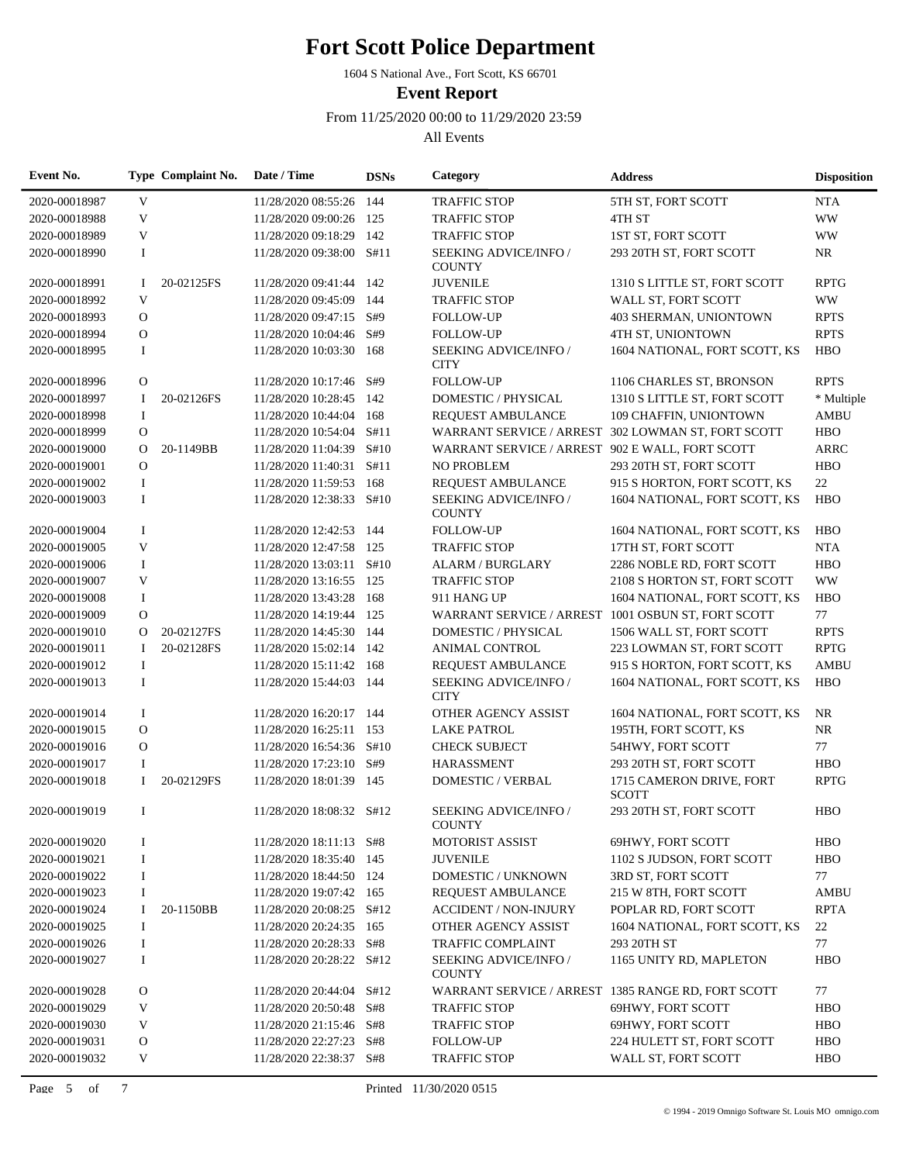1604 S National Ave., Fort Scott, KS 66701

**Event Report**

From 11/25/2020 00:00 to 11/29/2020 23:59

| Event No.     |              | Type Complaint No. | Date / Time              | <b>DSNs</b> | Category                                           | <b>Address</b>                                     | <b>Disposition</b> |
|---------------|--------------|--------------------|--------------------------|-------------|----------------------------------------------------|----------------------------------------------------|--------------------|
| 2020-00018987 | V            |                    | 11/28/2020 08:55:26      | 144         | <b>TRAFFIC STOP</b>                                | 5TH ST, FORT SCOTT                                 | <b>NTA</b>         |
| 2020-00018988 | $\mathbf V$  |                    | 11/28/2020 09:00:26      | 125         | <b>TRAFFIC STOP</b>                                | 4TH ST                                             | <b>WW</b>          |
| 2020-00018989 | V            |                    | 11/28/2020 09:18:29      | 142         | <b>TRAFFIC STOP</b>                                | 1ST ST, FORT SCOTT                                 | <b>WW</b>          |
| 2020-00018990 | I            |                    | 11/28/2020 09:38:00      | S#11        | SEEKING ADVICE/INFO /<br><b>COUNTY</b>             | 293 20TH ST, FORT SCOTT                            | <b>NR</b>          |
| 2020-00018991 | Ι.           | 20-02125FS         | 11/28/2020 09:41:44 142  |             | <b>JUVENILE</b>                                    | 1310 S LITTLE ST, FORT SCOTT                       | <b>RPTG</b>        |
| 2020-00018992 | V            |                    | 11/28/2020 09:45:09      | 144         | <b>TRAFFIC STOP</b>                                | WALL ST, FORT SCOTT                                | <b>WW</b>          |
| 2020-00018993 | $\mathbf{O}$ |                    | 11/28/2020 09:47:15      | S#9         | <b>FOLLOW-UP</b>                                   | 403 SHERMAN, UNIONTOWN                             | <b>RPTS</b>        |
| 2020-00018994 | $\mathbf{O}$ |                    | 11/28/2020 10:04:46      | S#9         | <b>FOLLOW-UP</b>                                   | 4TH ST, UNIONTOWN                                  | <b>RPTS</b>        |
| 2020-00018995 | $\bf{I}$     |                    | 11/28/2020 10:03:30 168  |             | <b>SEEKING ADVICE/INFO/</b><br><b>CITY</b>         | 1604 NATIONAL, FORT SCOTT, KS                      | <b>HBO</b>         |
| 2020-00018996 | $\mathbf{O}$ |                    | 11/28/2020 10:17:46      | S#9         | <b>FOLLOW-UP</b>                                   | 1106 CHARLES ST, BRONSON                           | <b>RPTS</b>        |
| 2020-00018997 | I            | 20-02126FS         | 11/28/2020 10:28:45      | 142         | DOMESTIC / PHYSICAL                                | 1310 S LITTLE ST, FORT SCOTT                       | * Multiple         |
| 2020-00018998 | $\bf{I}$     |                    | 11/28/2020 10:44:04      | 168         | <b>REQUEST AMBULANCE</b>                           | 109 CHAFFIN, UNIONTOWN                             | <b>AMBU</b>        |
| 2020-00018999 | $\mathbf{O}$ |                    | 11/28/2020 10:54:04      | S#11        |                                                    | WARRANT SERVICE / ARREST 302 LOWMAN ST, FORT SCOTT | <b>HBO</b>         |
| 2020-00019000 | $\Omega$     | 20-1149BB          | 11/28/2020 11:04:39      | S#10        | WARRANT SERVICE / ARREST 902 E WALL, FORT SCOTT    |                                                    | <b>ARRC</b>        |
| 2020-00019001 | $\mathbf{O}$ |                    | 11/28/2020 11:40:31      | S#11        | <b>NO PROBLEM</b>                                  | 293 20TH ST, FORT SCOTT                            | <b>HBO</b>         |
| 2020-00019002 | $\bf{I}$     |                    | 11/28/2020 11:59:53      | 168         | REQUEST AMBULANCE                                  | 915 S HORTON, FORT SCOTT, KS                       | $22\,$             |
| 2020-00019003 | $\bf{I}$     |                    | 11/28/2020 12:38:33      | S#10        | SEEKING ADVICE/INFO /<br><b>COUNTY</b>             | 1604 NATIONAL, FORT SCOTT, KS                      | <b>HBO</b>         |
| 2020-00019004 | $\mathbf I$  |                    | 11/28/2020 12:42:53 144  |             | <b>FOLLOW-UP</b>                                   | 1604 NATIONAL, FORT SCOTT, KS                      | <b>HBO</b>         |
| 2020-00019005 | V            |                    | 11/28/2020 12:47:58      | 125         | <b>TRAFFIC STOP</b>                                | 17TH ST, FORT SCOTT                                | <b>NTA</b>         |
| 2020-00019006 | $\bf{I}$     |                    | 11/28/2020 13:03:11 S#10 |             | <b>ALARM / BURGLARY</b>                            | 2286 NOBLE RD, FORT SCOTT                          | <b>HBO</b>         |
| 2020-00019007 | V            |                    | 11/28/2020 13:16:55 125  |             | <b>TRAFFIC STOP</b>                                | 2108 S HORTON ST, FORT SCOTT                       | <b>WW</b>          |
| 2020-00019008 | $\bf{I}$     |                    | 11/28/2020 13:43:28      | 168         | 911 HANG UP                                        | 1604 NATIONAL, FORT SCOTT, KS                      | <b>HBO</b>         |
| 2020-00019009 | $\mathbf{O}$ |                    | 11/28/2020 14:19:44      | 125         | <b>WARRANT SERVICE / ARREST</b>                    | 1001 OSBUN ST, FORT SCOTT                          | 77                 |
| 2020-00019010 | $\mathbf{O}$ | 20-02127FS         | 11/28/2020 14:45:30      | 144         | DOMESTIC / PHYSICAL                                | 1506 WALL ST, FORT SCOTT                           | <b>RPTS</b>        |
| 2020-00019011 | 1            | 20-02128FS         | 11/28/2020 15:02:14 142  |             | ANIMAL CONTROL                                     | 223 LOWMAN ST, FORT SCOTT                          | <b>RPTG</b>        |
| 2020-00019012 | $\bf{I}$     |                    | 11/28/2020 15:11:42 168  |             | <b>REQUEST AMBULANCE</b>                           | 915 S HORTON, FORT SCOTT, KS                       | <b>AMBU</b>        |
| 2020-00019013 | $\bf{I}$     |                    | 11/28/2020 15:44:03 144  |             | SEEKING ADVICE/INFO /<br><b>CITY</b>               | 1604 NATIONAL, FORT SCOTT, KS                      | <b>HBO</b>         |
| 2020-00019014 | $\bf{I}$     |                    | 11/28/2020 16:20:17 144  |             | OTHER AGENCY ASSIST                                | 1604 NATIONAL, FORT SCOTT, KS                      | <b>NR</b>          |
| 2020-00019015 | $\mathbf{O}$ |                    | 11/28/2020 16:25:11      | 153         | <b>LAKE PATROL</b>                                 | 195TH, FORT SCOTT, KS                              | <b>NR</b>          |
| 2020-00019016 | $\mathbf{O}$ |                    | 11/28/2020 16:54:36      | S#10        | <b>CHECK SUBJECT</b>                               | 54HWY, FORT SCOTT                                  | 77                 |
| 2020-00019017 | I            |                    | 11/28/2020 17:23:10      | S#9         | <b>HARASSMENT</b>                                  | 293 20TH ST, FORT SCOTT                            | <b>HBO</b>         |
| 2020-00019018 | 1            | 20-02129FS         | 11/28/2020 18:01:39      | 145         | DOMESTIC / VERBAL                                  | 1715 CAMERON DRIVE, FORT<br><b>SCOTT</b>           | <b>RPTG</b>        |
| 2020-00019019 | I            |                    | 11/28/2020 18:08:32 S#12 |             | SEEKING ADVICE/INFO /<br><b>COUNTY</b>             | 293 20TH ST, FORT SCOTT                            | <b>HBO</b>         |
| 2020-00019020 | $\bf{I}$     |                    | 11/28/2020 18:11:13 S#8  |             | <b>MOTORIST ASSIST</b>                             | 69HWY, FORT SCOTT                                  | <b>HBO</b>         |
| 2020-00019021 | $\bf{I}$     |                    | 11/28/2020 18:35:40 145  |             | <b>JUVENILE</b>                                    | 1102 S JUDSON, FORT SCOTT                          | <b>HBO</b>         |
| 2020-00019022 | $\bf{I}$     |                    | 11/28/2020 18:44:50 124  |             | DOMESTIC / UNKNOWN                                 | 3RD ST, FORT SCOTT                                 | 77                 |
| 2020-00019023 | I            |                    | 11/28/2020 19:07:42 165  |             | <b>REQUEST AMBULANCE</b>                           | 215 W 8TH, FORT SCOTT                              | <b>AMBU</b>        |
| 2020-00019024 | 1            | 20-1150BB          | 11/28/2020 20:08:25      | S#12        | <b>ACCIDENT / NON-INJURY</b>                       | POPLAR RD, FORT SCOTT                              | <b>RPTA</b>        |
| 2020-00019025 | I            |                    | 11/28/2020 20:24:35 165  |             | OTHER AGENCY ASSIST                                | 1604 NATIONAL, FORT SCOTT, KS                      | 22                 |
| 2020-00019026 | I            |                    | 11/28/2020 20:28:33 S#8  |             | TRAFFIC COMPLAINT                                  | 293 20TH ST                                        | 77                 |
| 2020-00019027 | I            |                    | 11/28/2020 20:28:22 S#12 |             | SEEKING ADVICE/INFO /<br><b>COUNTY</b>             | 1165 UNITY RD, MAPLETON                            | <b>HBO</b>         |
| 2020-00019028 | $\mathbf{O}$ |                    | 11/28/2020 20:44:04      | S#12        | WARRANT SERVICE / ARREST 1385 RANGE RD, FORT SCOTT |                                                    | 77                 |
| 2020-00019029 | V            |                    | 11/28/2020 20:50:48      | S#8         | <b>TRAFFIC STOP</b>                                | 69HWY, FORT SCOTT                                  | <b>HBO</b>         |
| 2020-00019030 | V            |                    | 11/28/2020 21:15:46      | S#8         | <b>TRAFFIC STOP</b>                                | 69HWY, FORT SCOTT                                  | <b>HBO</b>         |
| 2020-00019031 | $\mathbf{O}$ |                    | 11/28/2020 22:27:23      | S#8         | <b>FOLLOW-UP</b>                                   | 224 HULETT ST, FORT SCOTT                          | <b>HBO</b>         |
| 2020-00019032 | V            |                    | 11/28/2020 22:38:37 S#8  |             | <b>TRAFFIC STOP</b>                                | WALL ST, FORT SCOTT                                | <b>HBO</b>         |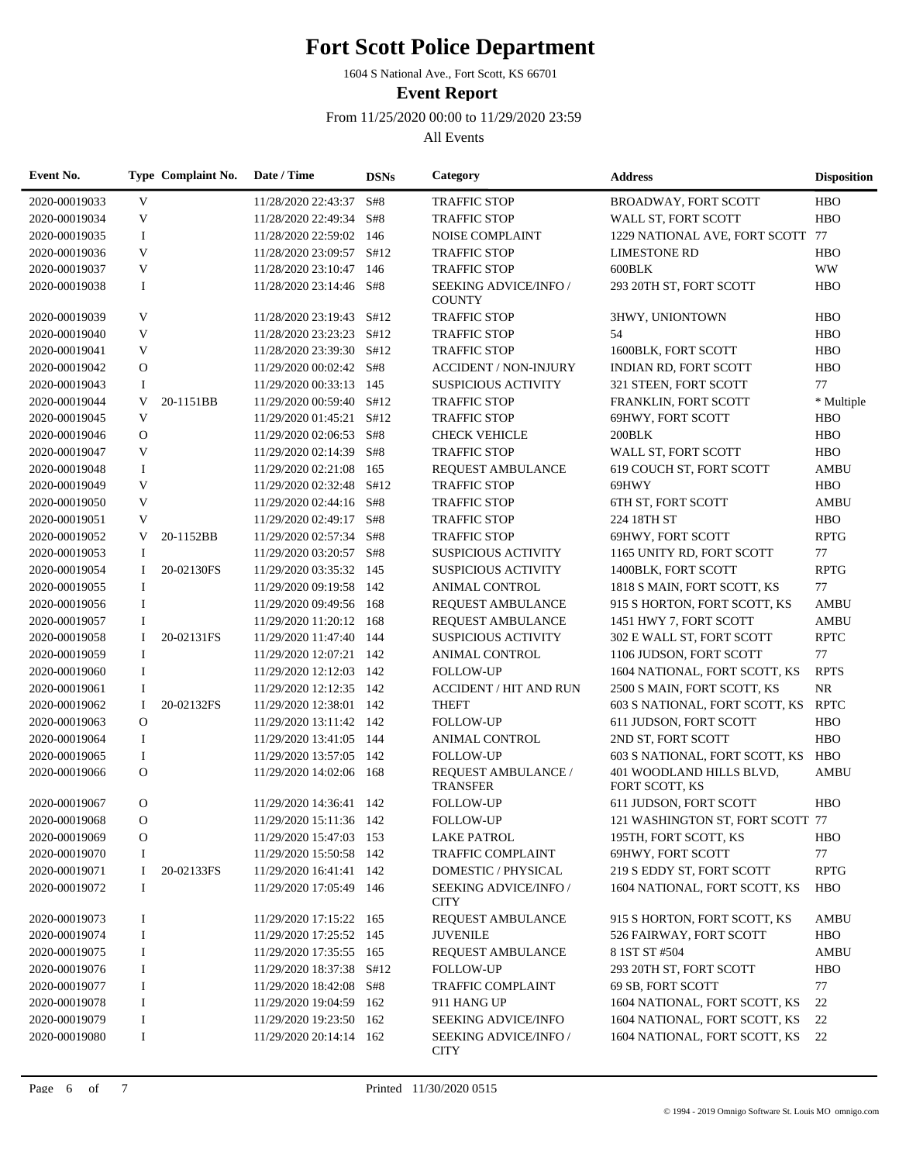1604 S National Ave., Fort Scott, KS 66701

**Event Report**

From 11/25/2020 00:00 to 11/29/2020 23:59

| Event No.     |              | Type Complaint No. | Date / Time              | <b>DSNs</b> | Category                               | <b>Address</b>                             | <b>Disposition</b> |
|---------------|--------------|--------------------|--------------------------|-------------|----------------------------------------|--------------------------------------------|--------------------|
| 2020-00019033 | V            |                    | 11/28/2020 22:43:37 S#8  |             | <b>TRAFFIC STOP</b>                    | <b>BROADWAY, FORT SCOTT</b>                | <b>HBO</b>         |
| 2020-00019034 | V            |                    | 11/28/2020 22:49:34 S#8  |             | <b>TRAFFIC STOP</b>                    | WALL ST, FORT SCOTT                        | <b>HBO</b>         |
| 2020-00019035 | I            |                    | 11/28/2020 22:59:02 146  |             | NOISE COMPLAINT                        | 1229 NATIONAL AVE, FORT SCOTT 77           |                    |
| 2020-00019036 | V            |                    | 11/28/2020 23:09:57 S#12 |             | <b>TRAFFIC STOP</b>                    | <b>LIMESTONE RD</b>                        | <b>HBO</b>         |
| 2020-00019037 | V            |                    | 11/28/2020 23:10:47 146  |             | <b>TRAFFIC STOP</b>                    | 600BLK                                     | <b>WW</b>          |
| 2020-00019038 | 1            |                    | 11/28/2020 23:14:46 S#8  |             | SEEKING ADVICE/INFO /<br><b>COUNTY</b> | 293 20TH ST, FORT SCOTT                    | <b>HBO</b>         |
| 2020-00019039 | V            |                    | 11/28/2020 23:19:43      | S#12        | <b>TRAFFIC STOP</b>                    | 3HWY, UNIONTOWN                            | <b>HBO</b>         |
| 2020-00019040 | V            |                    | 11/28/2020 23:23:23 S#12 |             | <b>TRAFFIC STOP</b>                    | 54                                         | <b>HBO</b>         |
| 2020-00019041 | V            |                    | 11/28/2020 23:39:30 S#12 |             | <b>TRAFFIC STOP</b>                    | 1600BLK, FORT SCOTT                        | <b>HBO</b>         |
| 2020-00019042 | $\mathbf{O}$ |                    | 11/29/2020 00:02:42 S#8  |             | <b>ACCIDENT / NON-INJURY</b>           | INDIAN RD, FORT SCOTT                      | <b>HBO</b>         |
| 2020-00019043 | $\mathbf I$  |                    | 11/29/2020 00:33:13 145  |             | <b>SUSPICIOUS ACTIVITY</b>             | 321 STEEN, FORT SCOTT                      | 77                 |
| 2020-00019044 | V            | 20-1151BB          | 11/29/2020 00:59:40 S#12 |             | <b>TRAFFIC STOP</b>                    | FRANKLIN, FORT SCOTT                       | * Multiple         |
| 2020-00019045 | V            |                    | 11/29/2020 01:45:21 S#12 |             | <b>TRAFFIC STOP</b>                    | 69HWY, FORT SCOTT                          | <b>HBO</b>         |
| 2020-00019046 | $\mathbf{O}$ |                    | 11/29/2020 02:06:53      | S#8         | <b>CHECK VEHICLE</b>                   | 200BLK                                     | <b>HBO</b>         |
| 2020-00019047 | V            |                    | 11/29/2020 02:14:39      | S#8         | <b>TRAFFIC STOP</b>                    | WALL ST, FORT SCOTT                        | <b>HBO</b>         |
| 2020-00019048 | $\bf{I}$     |                    | 11/29/2020 02:21:08      | 165         | <b>REQUEST AMBULANCE</b>               | 619 COUCH ST, FORT SCOTT                   | <b>AMBU</b>        |
| 2020-00019049 | V            |                    | 11/29/2020 02:32:48 S#12 |             | <b>TRAFFIC STOP</b>                    | 69HWY                                      | <b>HBO</b>         |
| 2020-00019050 | V            |                    | 11/29/2020 02:44:16 S#8  |             | <b>TRAFFIC STOP</b>                    | <b>6TH ST, FORT SCOTT</b>                  | <b>AMBU</b>        |
| 2020-00019051 | V            |                    | 11/29/2020 02:49:17 S#8  |             | <b>TRAFFIC STOP</b>                    | 224 18TH ST                                | <b>HBO</b>         |
| 2020-00019052 | V            | 20-1152BB          | 11/29/2020 02:57:34 S#8  |             | <b>TRAFFIC STOP</b>                    | 69HWY, FORT SCOTT                          | <b>RPTG</b>        |
| 2020-00019053 | I            |                    | 11/29/2020 03:20:57 S#8  |             | <b>SUSPICIOUS ACTIVITY</b>             | 1165 UNITY RD, FORT SCOTT                  | 77                 |
| 2020-00019054 | $\bf{I}$     | 20-02130FS         | 11/29/2020 03:35:32 145  |             | <b>SUSPICIOUS ACTIVITY</b>             | 1400BLK, FORT SCOTT                        | <b>RPTG</b>        |
| 2020-00019055 | $\mathbf I$  |                    | 11/29/2020 09:19:58 142  |             | <b>ANIMAL CONTROL</b>                  | 1818 S MAIN, FORT SCOTT, KS                | 77                 |
| 2020-00019056 | $\mathbf I$  |                    | 11/29/2020 09:49:56 168  |             | REQUEST AMBULANCE                      | 915 S HORTON, FORT SCOTT, KS               | <b>AMBU</b>        |
| 2020-00019057 | $\mathbf I$  |                    | 11/29/2020 11:20:12      | - 168       | REQUEST AMBULANCE                      | 1451 HWY 7, FORT SCOTT                     | <b>AMBU</b>        |
| 2020-00019058 | $\bf{I}$     | 20-02131FS         | 11/29/2020 11:47:40      | 144         | <b>SUSPICIOUS ACTIVITY</b>             | 302 E WALL ST, FORT SCOTT                  | <b>RPTC</b>        |
| 2020-00019059 | $\bf{I}$     |                    | 11/29/2020 12:07:21      | - 142       | ANIMAL CONTROL                         | 1106 JUDSON, FORT SCOTT                    | $77\,$             |
| 2020-00019060 | $\bf I$      |                    | 11/29/2020 12:12:03      | 142         | <b>FOLLOW-UP</b>                       | 1604 NATIONAL, FORT SCOTT, KS              | <b>RPTS</b>        |
| 2020-00019061 | $\mathbf I$  |                    | 11/29/2020 12:12:35      | 142         | ACCIDENT / HIT AND RUN                 | 2500 S MAIN, FORT SCOTT, KS                | NR                 |
| 2020-00019062 | 1            | 20-02132FS         | 11/29/2020 12:38:01      | 142         | <b>THEFT</b>                           | 603 S NATIONAL, FORT SCOTT, KS             | <b>RPTC</b>        |
| 2020-00019063 | $\mathbf{O}$ |                    | 11/29/2020 13:11:42      | - 142       | <b>FOLLOW-UP</b>                       | 611 JUDSON, FORT SCOTT                     | <b>HBO</b>         |
| 2020-00019064 | I            |                    | 11/29/2020 13:41:05      | 144         | <b>ANIMAL CONTROL</b>                  | 2ND ST, FORT SCOTT                         | <b>HBO</b>         |
| 2020-00019065 | I            |                    | 11/29/2020 13:57:05 142  |             | <b>FOLLOW-UP</b>                       | 603 S NATIONAL, FORT SCOTT, KS             | <b>HBO</b>         |
| 2020-00019066 | $\mathbf{O}$ |                    | 11/29/2020 14:02:06 168  |             | REQUEST AMBULANCE /<br><b>TRANSFER</b> | 401 WOODLAND HILLS BLVD,<br>FORT SCOTT, KS | <b>AMBU</b>        |
| 2020-00019067 | $\mathbf O$  |                    | 11/29/2020 14:36:41 142  |             | <b>FOLLOW-UP</b>                       | 611 JUDSON, FORT SCOTT                     | <b>HBO</b>         |
| 2020-00019068 | $\mathbf{O}$ |                    | 11/29/2020 15:11:36 142  |             | <b>FOLLOW-UP</b>                       | 121 WASHINGTON ST, FORT SCOTT 77           |                    |
| 2020-00019069 | $\mathbf{O}$ |                    | 11/29/2020 15:47:03 153  |             | <b>LAKE PATROL</b>                     | 195TH, FORT SCOTT, KS                      | HBO                |
| 2020-00019070 | Ι            |                    | 11/29/2020 15:50:58 142  |             | <b>TRAFFIC COMPLAINT</b>               | 69HWY, FORT SCOTT                          | 77                 |
| 2020-00019071 | Ι.           | 20-02133FS         | 11/29/2020 16:41:41 142  |             | DOMESTIC / PHYSICAL                    | 219 S EDDY ST, FORT SCOTT                  | <b>RPTG</b>        |
| 2020-00019072 | I            |                    | 11/29/2020 17:05:49 146  |             | SEEKING ADVICE/INFO /<br><b>CITY</b>   | 1604 NATIONAL, FORT SCOTT, KS              | <b>HBO</b>         |
| 2020-00019073 | I            |                    | 11/29/2020 17:15:22 165  |             | <b>REQUEST AMBULANCE</b>               | 915 S HORTON, FORT SCOTT, KS               | AMBU               |
| 2020-00019074 | $\bf{I}$     |                    | 11/29/2020 17:25:52 145  |             | <b>JUVENILE</b>                        | 526 FAIRWAY, FORT SCOTT                    | <b>HBO</b>         |
| 2020-00019075 | I            |                    | 11/29/2020 17:35:55 165  |             | REQUEST AMBULANCE                      | 8 1ST ST #504                              | <b>AMBU</b>        |
| 2020-00019076 | I            |                    | 11/29/2020 18:37:38 S#12 |             | <b>FOLLOW-UP</b>                       | 293 20TH ST, FORT SCOTT                    | <b>HBO</b>         |
| 2020-00019077 | Ι            |                    | 11/29/2020 18:42:08 S#8  |             | <b>TRAFFIC COMPLAINT</b>               | 69 SB, FORT SCOTT                          | 77                 |
| 2020-00019078 | Ι            |                    | 11/29/2020 19:04:59 162  |             | 911 HANG UP                            | 1604 NATIONAL, FORT SCOTT, KS              | 22                 |
| 2020-00019079 | I            |                    | 11/29/2020 19:23:50 162  |             | SEEKING ADVICE/INFO                    | 1604 NATIONAL, FORT SCOTT, KS              | 22                 |
| 2020-00019080 | I            |                    | 11/29/2020 20:14:14 162  |             | SEEKING ADVICE/INFO /<br><b>CITY</b>   | 1604 NATIONAL, FORT SCOTT, KS              | 22                 |